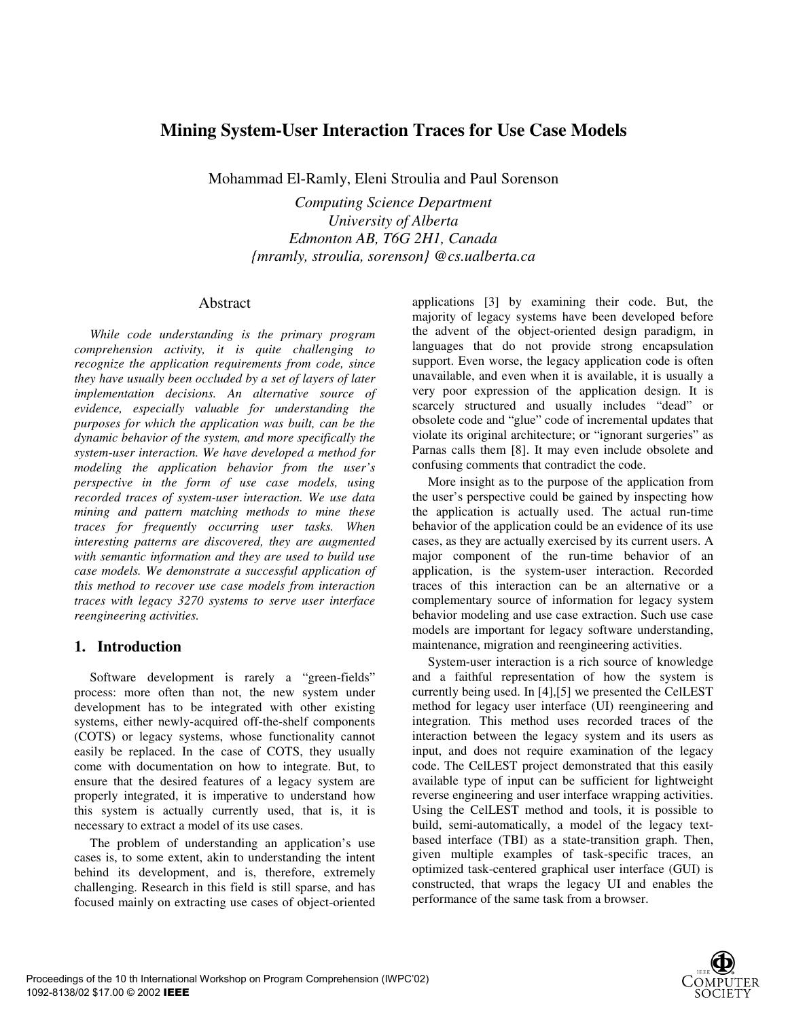# **Mining System-User Interaction Traces for Use Case Models**

Mohammad El-Ramly, Eleni Stroulia and Paul Sorenson

*Computing Science Department University of Alberta Edmonton AB, T6G 2H1, Canada {mramly, stroulia, sorenson} @cs.ualberta.ca*

## Abstract

*While code understanding is the primary program comprehension activity, it is quite challenging to recognize the application requirements from code, since they have usually been occluded by a set of layers of later implementation decisions. An alternative source of evidence, especially valuable for understanding the purposes for which the application was built, can be the dynamic behavior of the system, and more specifically the system-user interaction. We have developed a method for modeling the application behavior from the user's perspective in the form of use case models, using recorded traces of system-user interaction. We use data mining and pattern matching methods to mine these traces for frequently occurring user tasks. When interesting patterns are discovered, they are augmented with semantic information and they are used to build use case models. We demonstrate a successful application of this method to recover use case models from interaction traces with legacy 3270 systems to serve user interface reengineering activities.*

## **1. Introduction**

Software development is rarely a "green-fields" process: more often than not, the new system under development has to be integrated with other existing systems, either newly-acquired off-the-shelf components (COTS) or legacy systems, whose functionality cannot easily be replaced. In the case of COTS, they usually come with documentation on how to integrate. But, to ensure that the desired features of a legacy system are properly integrated, it is imperative to understand how this system is actually currently used, that is, it is necessary to extract a model of its use cases.

The problem of understanding an application's use cases is, to some extent, akin to understanding the intent behind its development, and is, therefore, extremely challenging. Research in this field is still sparse, and has focused mainly on extracting use cases of object-oriented

applications [3] by examining their code. But, the majority of legacy systems have been developed before the advent of the object-oriented design paradigm, in languages that do not provide strong encapsulation support. Even worse, the legacy application code is often unavailable, and even when it is available, it is usually a very poor expression of the application design. It is scarcely structured and usually includes "dead" or obsolete code and "glue" code of incremental updates that violate its original architecture; or "ignorant surgeries" as Parnas calls them [8]. It may even include obsolete and confusing comments that contradict the code.

More insight as to the purpose of the application from the user's perspective could be gained by inspecting how the application is actually used. The actual run-time behavior of the application could be an evidence of its use cases, as they are actually exercised by its current users. A major component of the run-time behavior of an application, is the system-user interaction. Recorded traces of this interaction can be an alternative or a complementary source of information for legacy system behavior modeling and use case extraction. Such use case models are important for legacy software understanding, maintenance, migration and reengineering activities.

System-user interaction is a rich source of knowledge and a faithful representation of how the system is currently being used. In [4],[5] we presented the CelLEST method for legacy user interface (UI) reengineering and integration. This method uses recorded traces of the interaction between the legacy system and its users as input, and does not require examination of the legacy code. The CelLEST project demonstrated that this easily available type of input can be sufficient for lightweight reverse engineering and user interface wrapping activities. Using the CelLEST method and tools, it is possible to build, semi-automatically, a model of the legacy textbased interface (TBI) as a state-transition graph. Then, given multiple examples of task-specific traces, an optimized task-centered graphical user interface (GUI) is constructed, that wraps the legacy UI and enables the performance of the same task from a browser.

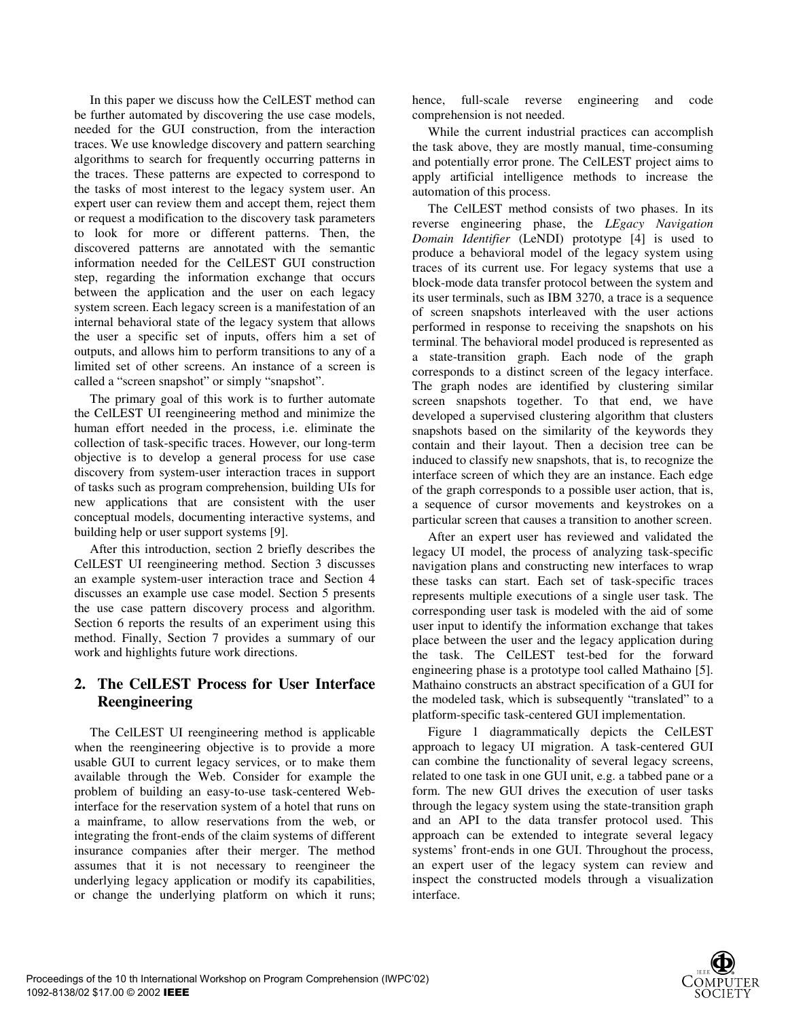In this paper we discuss how the CelLEST method can be further automated by discovering the use case models, needed for the GUI construction, from the interaction traces. We use knowledge discovery and pattern searching algorithms to search for frequently occurring patterns in the traces. These patterns are expected to correspond to the tasks of most interest to the legacy system user. An expert user can review them and accept them, reject them or request a modification to the discovery task parameters to look for more or different patterns. Then, the discovered patterns are annotated with the semantic information needed for the CelLEST GUI construction step, regarding the information exchange that occurs between the application and the user on each legacy system screen. Each legacy screen is a manifestation of an internal behavioral state of the legacy system that allows the user a specific set of inputs, offers him a set of outputs, and allows him to perform transitions to any of a limited set of other screens. An instance of a screen is called a "screen snapshot" or simply "snapshot".

The primary goal of this work is to further automate the CelLEST UI reengineering method and minimize the human effort needed in the process, i.e. eliminate the collection of task-specific traces. However, our long-term objective is to develop a general process for use case discovery from system-user interaction traces in support of tasks such as program comprehension, building UIs for new applications that are consistent with the user conceptual models, documenting interactive systems, and building help or user support systems [9].

After this introduction, section 2 briefly describes the CelLEST UI reengineering method. Section 3 discusses an example system-user interaction trace and Section 4 discusses an example use case model. Section 5 presents the use case pattern discovery process and algorithm. Section 6 reports the results of an experiment using this method. Finally, Section 7 provides a summary of our work and highlights future work directions.

## **2. The CelLEST Process for User Interface Reengineering**

The CelLEST UI reengineering method is applicable when the reengineering objective is to provide a more usable GUI to current legacy services, or to make them available through the Web. Consider for example the problem of building an easy-to-use task-centered Webinterface for the reservation system of a hotel that runs on a mainframe, to allow reservations from the web, or integrating the front-ends of the claim systems of different insurance companies after their merger. The method assumes that it is not necessary to reengineer the underlying legacy application or modify its capabilities, or change the underlying platform on which it runs; hence, full-scale reverse engineering and code comprehension is not needed.

While the current industrial practices can accomplish the task above, they are mostly manual, time-consuming and potentially error prone. The CelLEST project aims to apply artificial intelligence methods to increase the automation of this process.

The CelLEST method consists of two phases. In its reverse engineering phase, the *LEgacy Navigation Domain Identifier* (LeNDI) prototype [4] is used to produce a behavioral model of the legacy system using traces of its current use. For legacy systems that use a block-mode data transfer protocol between the system and its user terminals, such as IBM 3270, a trace is a sequence of screen snapshots interleaved with the user actions performed in response to receiving the snapshots on his terminal. The behavioral model produced is represented as a state-transition graph. Each node of the graph corresponds to a distinct screen of the legacy interface. The graph nodes are identified by clustering similar screen snapshots together. To that end, we have developed a supervised clustering algorithm that clusters snapshots based on the similarity of the keywords they contain and their layout. Then a decision tree can be induced to classify new snapshots, that is, to recognize the interface screen of which they are an instance. Each edge of the graph corresponds to a possible user action, that is, a sequence of cursor movements and keystrokes on a particular screen that causes a transition to another screen.

After an expert user has reviewed and validated the legacy UI model, the process of analyzing task-specific navigation plans and constructing new interfaces to wrap these tasks can start. Each set of task-specific traces represents multiple executions of a single user task. The corresponding user task is modeled with the aid of some user input to identify the information exchange that takes place between the user and the legacy application during the task. The CelLEST test-bed for the forward engineering phase is a prototype tool called Mathaino [5]. Mathaino constructs an abstract specification of a GUI for the modeled task, which is subsequently "translated" to a platform-specific task-centered GUI implementation.

Figure 1 diagrammatically depicts the CelLEST approach to legacy UI migration. A task-centered GUI can combine the functionality of several legacy screens, related to one task in one GUI unit, e.g. a tabbed pane or a form. The new GUI drives the execution of user tasks through the legacy system using the state-transition graph and an API to the data transfer protocol used. This approach can be extended to integrate several legacy systems' front-ends in one GUI. Throughout the process, an expert user of the legacy system can review and inspect the constructed models through a visualization interface.

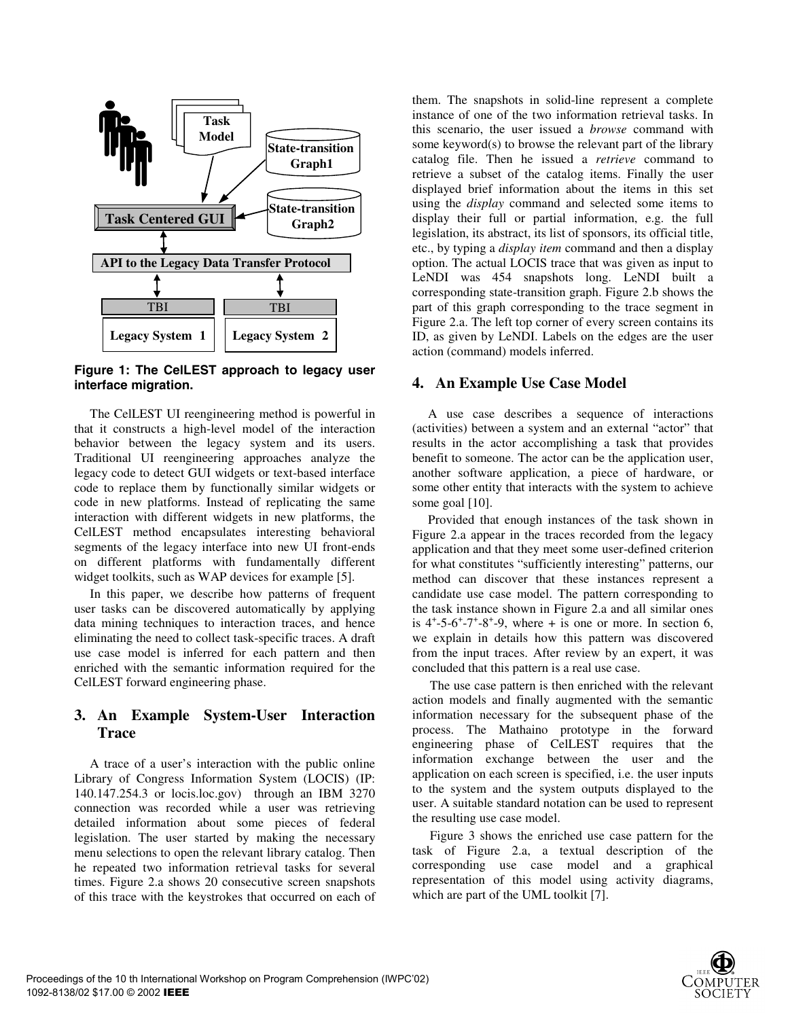

**Figure 1: The CelLEST approach to legacy user interface migration.**

The CelLEST UI reengineering method is powerful in that it constructs a high-level model of the interaction behavior between the legacy system and its users. Traditional UI reengineering approaches analyze the legacy code to detect GUI widgets or text-based interface code to replace them by functionally similar widgets or code in new platforms. Instead of replicating the same interaction with different widgets in new platforms, the CelLEST method encapsulates interesting behavioral segments of the legacy interface into new UI front-ends on different platforms with fundamentally different widget toolkits, such as WAP devices for example [5].

In this paper, we describe how patterns of frequent user tasks can be discovered automatically by applying data mining techniques to interaction traces, and hence eliminating the need to collect task-specific traces. A draft use case model is inferred for each pattern and then enriched with the semantic information required for the CelLEST forward engineering phase.

## **3. An Example System-User Interaction Trace**

A trace of a user's interaction with the public online Library of Congress Information System (LOCIS) (IP: 140.147.254.3 or locis.loc.gov) through an IBM 3270 connection was recorded while a user was retrieving detailed information about some pieces of federal legislation. The user started by making the necessary menu selections to open the relevant library catalog. Then he repeated two information retrieval tasks for several times. Figure 2.a shows 20 consecutive screen snapshots of this trace with the keystrokes that occurred on each of them. The snapshots in solid-line represent a complete instance of one of the two information retrieval tasks. In this scenario, the user issued a *browse* command with some keyword(s) to browse the relevant part of the library catalog file. Then he issued a *retrieve* command to retrieve a subset of the catalog items. Finally the user displayed brief information about the items in this set using the *display* command and selected some items to display their full or partial information, e.g. the full legislation, its abstract, its list of sponsors, its official title, etc., by typing a *display item* command and then a display option. The actual LOCIS trace that was given as input to LeNDI was 454 snapshots long. LeNDI built a corresponding state-transition graph. Figure 2.b shows the part of this graph corresponding to the trace segment in Figure 2.a. The left top corner of every screen contains its ID, as given by LeNDI. Labels on the edges are the user action (command) models inferred.

## **4. An Example Use Case Model**

A use case describes a sequence of interactions (activities) between a system and an external "actor" that results in the actor accomplishing a task that provides benefit to someone. The actor can be the application user, another software application, a piece of hardware, or some other entity that interacts with the system to achieve some goal [10].

Provided that enough instances of the task shown in Figure 2.a appear in the traces recorded from the legacy application and that they meet some user-defined criterion for what constitutes "sufficiently interesting" patterns, our method can discover that these instances represent a candidate use case model. The pattern corresponding to the task instance shown in Figure 2.a and all similar ones is  $4^{+}$ -5-6<sup>+</sup>-7<sup>+</sup>-8<sup>+</sup>-9, where + is one or more. In section 6, we explain in details how this pattern was discovered from the input traces. After review by an expert, it was concluded that this pattern is a real use case.

The use case pattern is then enriched with the relevant action models and finally augmented with the semantic information necessary for the subsequent phase of the process. The Mathaino prototype in the forward engineering phase of CelLEST requires that the information exchange between the user and the application on each screen is specified, i.e. the user inputs to the system and the system outputs displayed to the user. A suitable standard notation can be used to represent the resulting use case model.

Figure 3 shows the enriched use case pattern for the task of Figure 2.a, a textual description of the corresponding use case model and a graphical representation of this model using activity diagrams, which are part of the UML toolkit [7].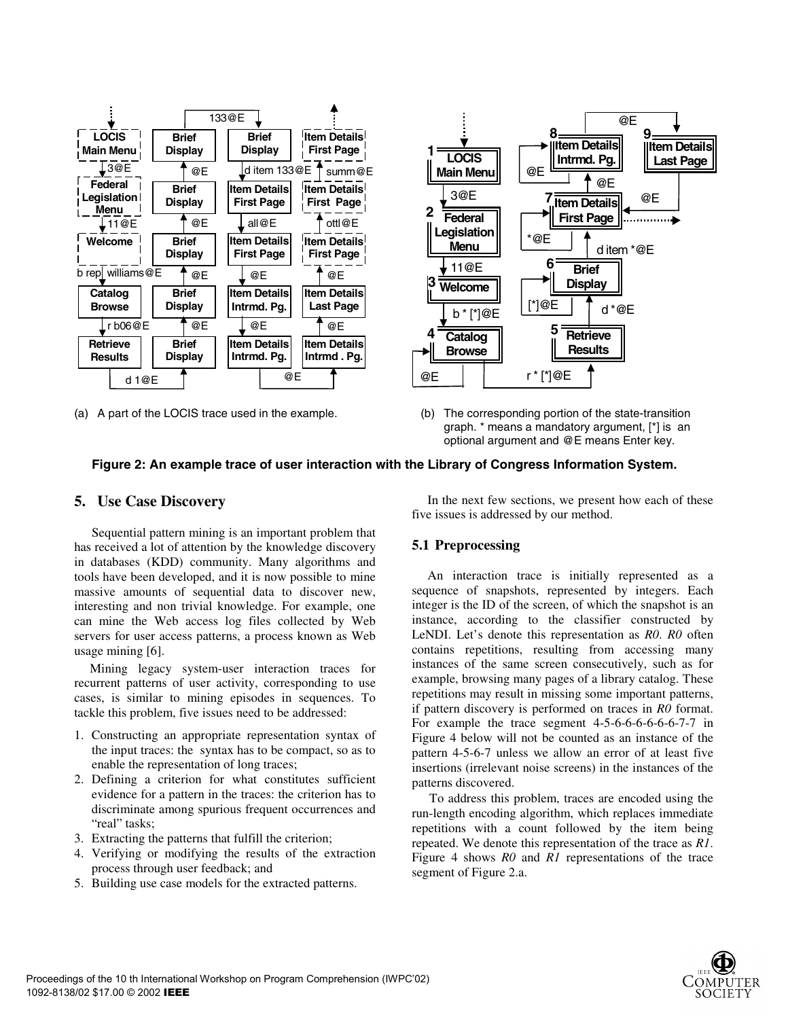

(a) A part of the LOCIS trace used in the example. (b) The corresponding portion of the state-transition graph. \* means a mandatory argument, [\*] is an optional argument and @E means Enter key.

### **Figure 2: An example trace of user interaction with the Library of Congress Information System.**

### **5. Use Case Discovery**

Sequential pattern mining is an important problem that has received a lot of attention by the knowledge discovery in databases (KDD) community. Many algorithms and tools have been developed, and it is now possible to mine massive amounts of sequential data to discover new, interesting and non trivial knowledge. For example, one can mine the Web access log files collected by Web servers for user access patterns, a process known as Web usage mining [6].

Mining legacy system-user interaction traces for recurrent patterns of user activity, corresponding to use cases, is similar to mining episodes in sequences. To tackle this problem, five issues need to be addressed:

- 1. Constructing an appropriate representation syntax of the input traces: the syntax has to be compact, so as to enable the representation of long traces;
- 2. Defining a criterion for what constitutes sufficient evidence for a pattern in the traces: the criterion has to discriminate among spurious frequent occurrences and "real" tasks:
- 3. Extracting the patterns that fulfill the criterion;
- 4. Verifying or modifying the results of the extraction process through user feedback; and
- 5. Building use case models for the extracted patterns.

In the next few sections, we present how each of these five issues is addressed by our method.

## **5.1 Preprocessing**

An interaction trace is initially represented as a sequence of snapshots, represented by integers. Each integer is the ID of the screen, of which the snapshot is an instance, according to the classifier constructed by LeNDI. Let's denote this representation as *R0*. *R0* often contains repetitions, resulting from accessing many instances of the same screen consecutively, such as for example, browsing many pages of a library catalog. These repetitions may result in missing some important patterns, if pattern discovery is performed on traces in *R0* format. For example the trace segment 4-5-6-6-6-6-6-6-7-7 in Figure 4 below will not be counted as an instance of the pattern 4-5-6-7 unless we allow an error of at least five insertions (irrelevant noise screens) in the instances of the patterns discovered.

To address this problem, traces are encoded using the run-length encoding algorithm, which replaces immediate repetitions with a count followed by the item being repeated. We denote this representation of the trace as *R1*. Figure 4 shows *R0* and *R1* representations of the trace segment of Figure 2.a.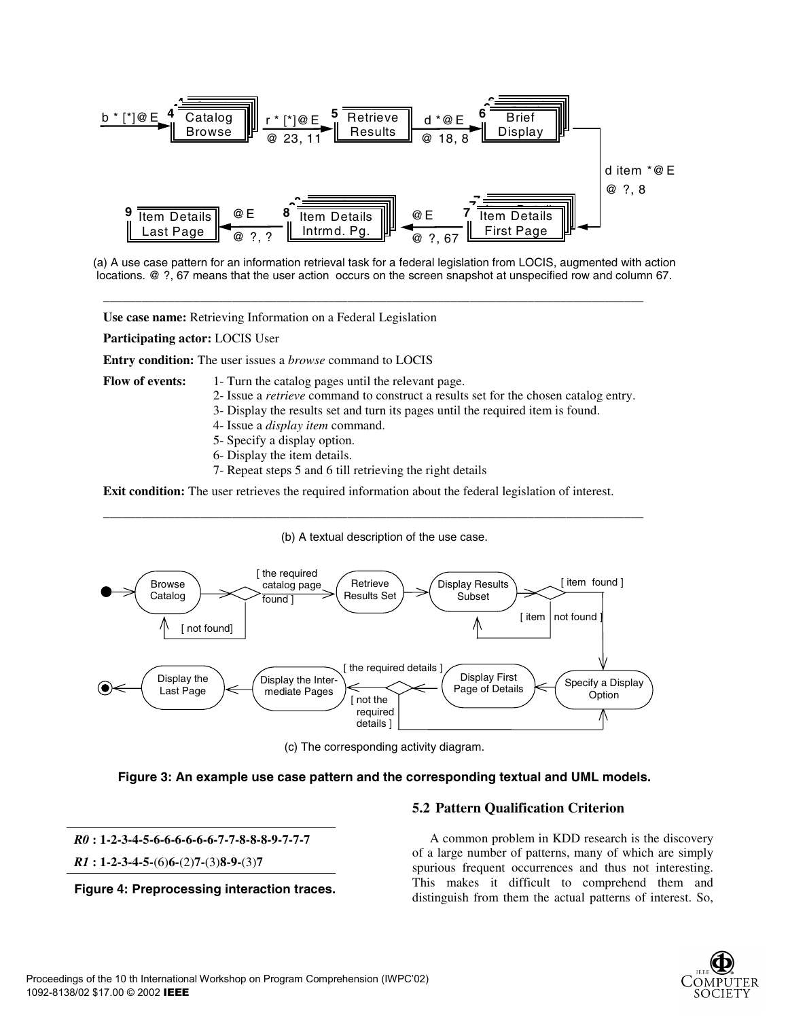

(a) A use case pattern for an information retrieval task for a federal legislation from LOCIS, augmented with action locations. @ ?, 67 means that the user action occurs on the screen snapshot at unspecified row and column 67.

\_\_\_\_\_\_\_\_\_\_\_\_\_\_\_\_\_\_\_\_\_\_\_\_\_\_\_\_\_\_\_\_\_\_\_\_\_\_\_\_\_\_\_\_\_\_\_\_\_\_\_\_\_\_\_\_\_\_\_\_\_\_\_\_\_\_\_\_\_\_\_\_\_\_\_\_\_\_\_\_\_\_\_\_

**Use case name:** Retrieving Information on a Federal Legislation

**Participating actor:** LOCIS User

**Entry condition:** The user issues a *browse* command to LOCIS

- **Flow of events:** 1- Turn the catalog pages until the relevant page.
	- 2- Issue a *retrieve* command to construct a results set for the chosen catalog entry.
	- 3- Display the results set and turn its pages until the required item is found.
	- 4- Issue a *display item* command.
	- 5- Specify a display option.
	- 6- Display the item details.
	- 7- Repeat steps 5 and 6 till retrieving the right details

**Exit condition:** The user retrieves the required information about the federal legislation of interest.

#### (b) A textual description of the use case.

\_\_\_\_\_\_\_\_\_\_\_\_\_\_\_\_\_\_\_\_\_\_\_\_\_\_\_\_\_\_\_\_\_\_\_\_\_\_\_\_\_\_\_\_\_\_\_\_\_\_\_\_\_\_\_\_\_\_\_\_\_\_\_\_\_\_\_\_\_\_\_\_\_\_\_\_\_\_\_\_\_\_\_\_



(c) The corresponding activity diagram.

#### **Figure 3: An example use case pattern and the corresponding textual and UML models.**

*R0* **: 1-2-3-4-5-6-6-6-6-6-6-7-7-8-8-8-9-7-7-7**

*R1* **: 1-2-3-4-5-**(6)**6-**(2)**7-**(3)**8-9-**(3)**7**

#### **Figure 4: Preprocessing interaction traces.**

#### **5.2 Pattern Qualification Criterion**

A common problem in KDD research is the discovery of a large number of patterns, many of which are simply spurious frequent occurrences and thus not interesting. This makes it difficult to comprehend them and distinguish from them the actual patterns of interest. So,

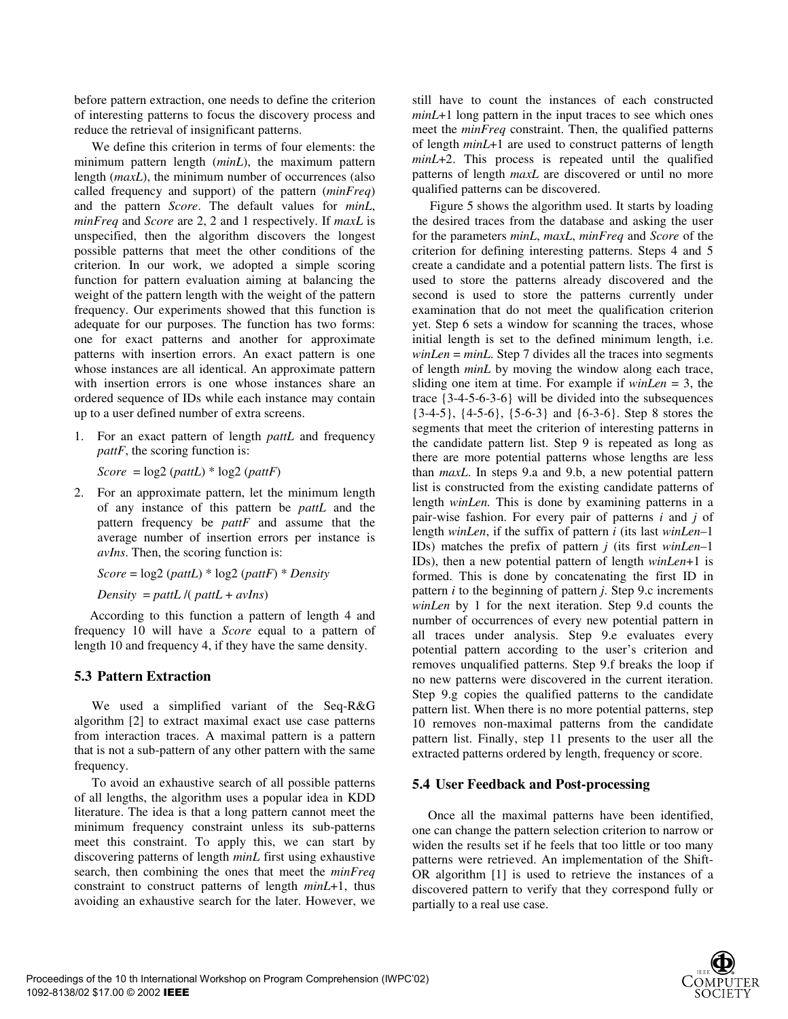before pattern extraction, one needs to define the criterion of interesting patterns to focus the discovery process and reduce the retrieval of insignificant patterns.

We define this criterion in terms of four elements: the minimum pattern length (*minL*), the maximum pattern length (*maxL*), the minimum number of occurrences (also called frequency and support) of the pattern (*minFreq*) and the pattern *Score*. The default values for *minL*, *minFreq* and *Score* are 2, 2 and 1 respectively. If *maxL* is unspecified, then the algorithm discovers the longest possible patterns that meet the other conditions of the criterion. In our work, we adopted a simple scoring function for pattern evaluation aiming at balancing the weight of the pattern length with the weight of the pattern frequency. Our experiments showed that this function is adequate for our purposes. The function has two forms: one for exact patterns and another for approximate patterns with insertion errors. An exact pattern is one whose instances are all identical. An approximate pattern with insertion errors is one whose instances share an ordered sequence of IDs while each instance may contain up to a user defined number of extra screens.

1. For an exact pattern of length *pattL* and frequency *pattF*, the scoring function is:

 $Score = log2$  ( $pathE$ ) \*  $log2$  ( $pathF$ )

2. For an approximate pattern, let the minimum length of any instance of this pattern be *pattL* and the pattern frequency be *pattF* and assume that the average number of insertion errors per instance is *avIns*. Then, the scoring function is:

$$
Score = \log 2 (pathL) * \log 2 (pathF) * Density
$$
  

$$
Density = pathL / (pathL + avIns)
$$

According to this function a pattern of length 4 and frequency 10 will have a *Score* equal to a pattern of length 10 and frequency 4, if they have the same density.

## **5.3 Pattern Extraction**

We used a simplified variant of the Seq-R&G algorithm [2] to extract maximal exact use case patterns from interaction traces. A maximal pattern is a pattern that is not a sub-pattern of any other pattern with the same frequency.

To avoid an exhaustive search of all possible patterns of all lengths, the algorithm uses a popular idea in KDD literature. The idea is that a long pattern cannot meet the minimum frequency constraint unless its sub-patterns meet this constraint. To apply this, we can start by discovering patterns of length *minL* first using exhaustive search, then combining the ones that meet the *minFreq* constraint to construct patterns of length *minL*+1, thus avoiding an exhaustive search for the later. However, we

still have to count the instances of each constructed *minL*+1 long pattern in the input traces to see which ones meet the *minFreq* constraint. Then, the qualified patterns of length *minL*+1 are used to construct patterns of length *minL*+2. This process is repeated until the qualified patterns of length *maxL* are discovered or until no more qualified patterns can be discovered.

Figure 5 shows the algorithm used. It starts by loading the desired traces from the database and asking the user for the parameters *minL*, *maxL*, *minFreq* and *Score* of the criterion for defining interesting patterns. Steps 4 and 5 create a candidate and a potential pattern lists. The first is used to store the patterns already discovered and the second is used to store the patterns currently under examination that do not meet the qualification criterion yet. Step 6 sets a window for scanning the traces, whose initial length is set to the defined minimum length, i.e. *winLen* = *minL*. Step 7 divides all the traces into segments of length *minL* by moving the window along each trace, sliding one item at time. For example if *winLen* = 3, the trace {3-4-5-6-3-6} will be divided into the subsequences {3-4-5}, {4-5-6}, {5-6-3} and {6-3-6}. Step 8 stores the segments that meet the criterion of interesting patterns in the candidate pattern list. Step 9 is repeated as long as there are more potential patterns whose lengths are less than *maxL*. In steps 9.a and 9.b, a new potential pattern list is constructed from the existing candidate patterns of length *winLen.* This is done by examining patterns in a pair-wise fashion. For every pair of patterns *i* and *j* of length *winLen*, if the suffix of pattern *i* (its last *winLen*–1 IDs) matches the prefix of pattern *j* (its first *winLen*–1 IDs), then a new potential pattern of length *winLen*+1 is formed. This is done by concatenating the first ID in pattern *i* to the beginning of pattern *j*. Step 9.c increments *winLen* by 1 for the next iteration. Step 9.d counts the number of occurrences of every new potential pattern in all traces under analysis. Step 9.e evaluates every potential pattern according to the user's criterion and removes unqualified patterns. Step 9.f breaks the loop if no new patterns were discovered in the current iteration. Step 9.g copies the qualified patterns to the candidate pattern list. When there is no more potential patterns, step 10 removes non-maximal patterns from the candidate pattern list. Finally, step 11 presents to the user all the extracted patterns ordered by length, frequency or score.

## **5.4 User Feedback and Post-processing**

Once all the maximal patterns have been identified, one can change the pattern selection criterion to narrow or widen the results set if he feels that too little or too many patterns were retrieved. An implementation of the Shift-OR algorithm [1] is used to retrieve the instances of a discovered pattern to verify that they correspond fully or partially to a real use case.

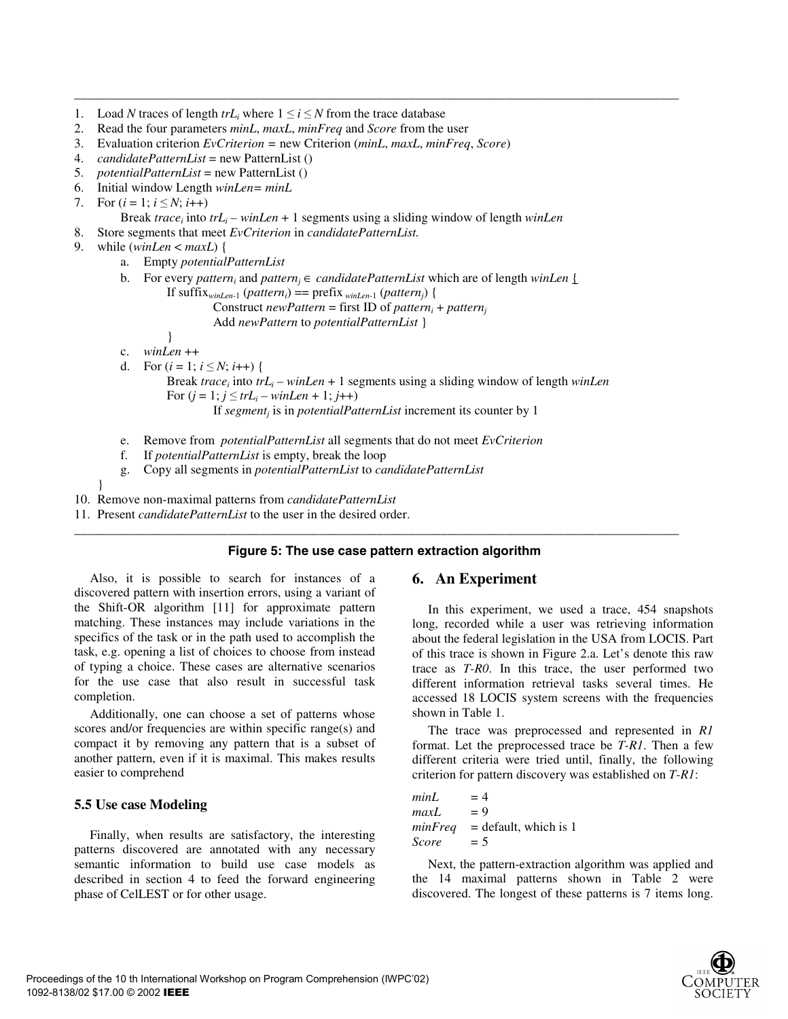- 1. Load *N* traces of length  $trL_i$  where  $1 \le i \le N$  from the trace database
- 2. Read the four parameters *minL*, *maxL*, *minFreq* and *Score* from the user
- 3. Evaluation criterion *EvCriterion =* new Criterion (*minL*, *maxL*, *minFreq*, *Score*)
- 4. *candidatePatternList* = new PatternList ()
- 5. *potentialPatternList* = new PatternList ()
- 6. Initial window Length *winLen= minL*
- 7. For  $(i = 1; i \leq N; i++)$

Break *trace<sub>i</sub>* into *trL<sub>i</sub>* – *winLen* + 1 segments using a sliding window of length *winLen* 

- 8. Store segments that meet *EvCriterion* in *candidatePatternList.*
- 9. while (*winLen* < *maxL*) {
	- a. Empty *potentialPatternList*
	- b. For every *pattern<sub>i</sub>* and *pattern<sub>i</sub>*  $\in$  *candidatePatternList* which are of length *winLen* { If suffix<sub>*winLen*-1</sub> (*pattern<sub>i</sub>*) == prefix  $_{winLen-1}$  (*pattern<sub>i</sub>*) {
		- Construct *newPattern* = first ID of *pattern<sub>i</sub>* + *pattern<sub>i</sub>* Add *newPattern* to *potentialPatternList* }
		-
	- } c. *winLen* ++
	- d. For  $(i = 1; i \leq N; i++)$  {

Break *trace<sub>i</sub>* into  $trL_i$  – winLen + 1 segments using a sliding window of length *winLen*  $For (j = 1; j \le trL<sub>i</sub> - winLen + 1; j++)$ If *segmentj* is in *potentialPatternList* increment its counter by 1

 $\_$  ,  $\_$  ,  $\_$  ,  $\_$  ,  $\_$  ,  $\_$  ,  $\_$  ,  $\_$  ,  $\_$  ,  $\_$  ,  $\_$  ,  $\_$  ,  $\_$  ,  $\_$  ,  $\_$  ,  $\_$  ,  $\_$  ,  $\_$  ,  $\_$  ,  $\_$  ,  $\_$  ,  $\_$  ,  $\_$  ,  $\_$  ,  $\_$  ,  $\_$  ,  $\_$  ,  $\_$  ,  $\_$  ,  $\_$  ,  $\_$  ,  $\_$  ,  $\_$  ,  $\_$  ,  $\_$  ,  $\_$  ,  $\_$  ,

- e. Remove from *potentialPatternList* all segments that do not meet *EvCriterion*
- f. If *potentialPatternList* is empty, break the loop
- g. Copy all segments in *potentialPatternList* to *candidatePatternList*
- }
- 10. Remove non-maximal patterns from *candidatePatternList*
- 11. Present *candidatePatternList* to the user in the desired order.

## \_\_\_\_\_\_\_\_\_\_\_\_\_\_\_\_\_\_\_\_\_\_\_\_\_\_\_\_\_\_\_\_\_\_\_\_\_\_\_\_\_\_\_\_\_\_\_\_\_\_\_\_\_\_\_\_\_\_\_\_\_\_\_\_\_\_\_\_\_\_\_\_\_\_\_\_\_\_\_\_\_\_\_\_\_\_\_\_\_\_\_\_\_\_ **Figure 5: The use case pattern extraction algorithm**

Also, it is possible to search for instances of a discovered pattern with insertion errors, using a variant of the Shift-OR algorithm [11] for approximate pattern matching. These instances may include variations in the specifics of the task or in the path used to accomplish the task, e.g. opening a list of choices to choose from instead of typing a choice. These cases are alternative scenarios for the use case that also result in successful task completion.

Additionally, one can choose a set of patterns whose scores and/or frequencies are within specific range(s) and compact it by removing any pattern that is a subset of another pattern, even if it is maximal. This makes results easier to comprehend

### **5.5 Use case Modeling**

Finally, when results are satisfactory, the interesting patterns discovered are annotated with any necessary semantic information to build use case models as described in section 4 to feed the forward engineering phase of CelLEST or for other usage.

### **6. An Experiment**

In this experiment, we used a trace, 454 snapshots long, recorded while a user was retrieving information about the federal legislation in the USA from LOCIS. Part of this trace is shown in Figure 2.a. Let's denote this raw trace as *T-R0*. In this trace, the user performed two different information retrieval tasks several times. He accessed 18 LOCIS system screens with the frequencies shown in Table 1.

The trace was preprocessed and represented in *R1* format. Let the preprocessed trace be *T-R1*. Then a few different criteria were tried until, finally, the following criterion for pattern discovery was established on *T-R1*:

 $minL = 4$  $maxL = 9$  $minFreq = default, which is 1$  $Score = 5$ 

Next, the pattern-extraction algorithm was applied and the 14 maximal patterns shown in Table 2 were discovered. The longest of these patterns is 7 items long.

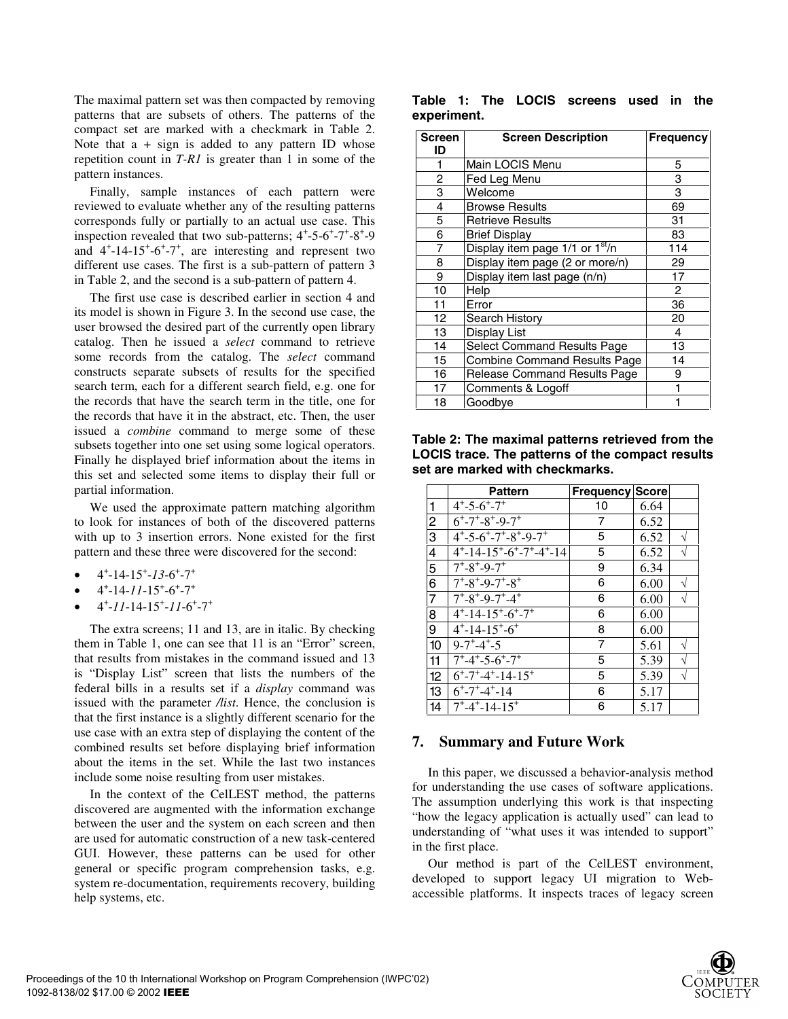The maximal pattern set was then compacted by removing patterns that are subsets of others. The patterns of the compact set are marked with a checkmark in Table 2. Note that  $a + sign$  is added to any pattern ID whose repetition count in *T-R1* is greater than 1 in some of the pattern instances.

Finally, sample instances of each pattern were reviewed to evaluate whether any of the resulting patterns corresponds fully or partially to an actual use case. This inspection revealed that two sub-patterns;  $4^{\text{+}}$ -5-6 $^{\text{+}}$ -7 $^{\text{+}}$ -8 $^{\text{+}}$ -9 and  $4^{+}$ -14-15<sup>+</sup>-6<sup>+</sup>-7<sup>+</sup>, are interesting and represent two different use cases. The first is a sub-pattern of pattern 3 in Table 2, and the second is a sub-pattern of pattern 4.

The first use case is described earlier in section 4 and its model is shown in Figure 3. In the second use case, the user browsed the desired part of the currently open library catalog. Then he issued a *select* command to retrieve some records from the catalog. The *select* command constructs separate subsets of results for the specified search term, each for a different search field, e.g. one for the records that have the search term in the title, one for the records that have it in the abstract, etc. Then, the user issued a *combine* command to merge some of these subsets together into one set using some logical operators. Finally he displayed brief information about the items in this set and selected some items to display their full or partial information.

We used the approximate pattern matching algorithm to look for instances of both of the discovered patterns with up to 3 insertion errors. None existed for the first pattern and these three were discovered for the second:

- $\bullet$  4<sup>+</sup>-14-15<sup>+</sup>-13-6<sup>+</sup>-7<sup>+</sup>
- $\bullet$  4<sup>+</sup>-14-11-15<sup>+</sup>-6<sup>+</sup>-7<sup>+</sup>
- $\bullet$   $4^{\text{+}}$ -11-14-15<sup>+</sup>-11-6<sup>+</sup>-7<sup>+</sup>

The extra screens; 11 and 13, are in italic. By checking them in Table 1, one can see that 11 is an "Error" screen, that results from mistakes in the command issued and 13 is "Display List" screen that lists the numbers of the federal bills in a results set if a *display* command was issued with the parameter */list*. Hence, the conclusion is that the first instance is a slightly different scenario for the use case with an extra step of displaying the content of the combined results set before displaying brief information about the items in the set. While the last two instances include some noise resulting from user mistakes.

In the context of the CelLEST method, the patterns discovered are augmented with the information exchange between the user and the system on each screen and then are used for automatic construction of a new task-centered GUI. However, these patterns can be used for other general or specific program comprehension tasks, e.g. system re-documentation, requirements recovery, building help systems, etc.

|             |  | Table 1: The LOCIS screens used in the |  |  |
|-------------|--|----------------------------------------|--|--|
| experiment. |  |                                        |  |  |

| <b>Screen</b><br>ID | <b>Screen Description</b>                   | <b>Frequency</b> |
|---------------------|---------------------------------------------|------------------|
| 1                   | Main LOCIS Menu                             | 5                |
| 2                   | Fed Leg Menu                                | 3                |
| 3                   | Welcome                                     | 3                |
| 4                   | <b>Browse Results</b>                       | 69               |
| 5                   | <b>Retrieve Results</b>                     | 31               |
| 6                   | <b>Brief Display</b>                        | 83               |
| 7                   | Display item page 1/1 or 1 <sup>st</sup> /n | 114              |
| 8                   | Display item page (2 or more/n)             | 29               |
| 9                   | Display item last page (n/n)                | 17               |
| 10                  | Help                                        | $\overline{c}$   |
| 11                  | Error                                       | 36               |
| 12                  | Search History                              | 20               |
| 13                  | Display List                                | 4                |
| 14                  | <b>Select Command Results Page</b>          | 13               |
| 15                  | <b>Combine Command Results Page</b>         | 14               |
| 16                  | Release Command Results Page                | 9                |
| 17                  | Comments & Logoff                           | 1                |
| 18                  | Goodbye                                     |                  |

**Table 2: The maximal patterns retrieved from the LOCIS trace. The patterns of the compact results set are marked with checkmarks.**

|                 | <b>Pattern</b>                                                                  | <b>Frequency Score</b> |      |  |
|-----------------|---------------------------------------------------------------------------------|------------------------|------|--|
| 1               | $4^{+}$ -5-6 <sup>+</sup> -7 <sup>+</sup>                                       | 10                     | 6.64 |  |
| $\overline{2}$  | $6^{+} - 7^{+} - 8^{+} - 9 - 7^{+}$                                             | 7                      | 6.52 |  |
| $\overline{3}$  | $4^{+}$ -5-6 <sup>+</sup> -7 <sup>+</sup> -8 <sup>+</sup> -9-7 <sup>+</sup>     | 5                      | 6.52 |  |
| $\overline{4}$  | $4^{+}$ -14-15 <sup>+</sup> -6 <sup>+</sup> -7 <sup>+</sup> -4 <sup>+</sup> -14 | 5                      | 6.52 |  |
| $\overline{5}$  | $7+8+9-7$                                                                       | 9                      | 6.34 |  |
| $\overline{6}$  | $7^{\text{+}} - 8^{\text{+}} - 9 - 7^{\text{+}} - 8^{\text{+}}$                 | 6                      | 6.00 |  |
| $\overline{7}$  | $7^{\text{+}} - 8^{\text{+}} - 9 - 7^{\text{+}} - 4^{\text{+}}$                 | 6                      | 6.00 |  |
| $\overline{8}$  | $4^{+}$ -14-15 <sup>+</sup> -6 <sup>+</sup> -7 <sup>+</sup>                     | 6                      | 6.00 |  |
| $\overline{9}$  | $4^{+}$ -14-15 <sup>+</sup> -6 <sup>+</sup>                                     | 8                      | 6.00 |  |
| $\overline{10}$ | $9 - 7 + (-4)^{+} - 5$                                                          | $\overline{7}$         | 5.61 |  |
| $\overline{11}$ | $7^{\text{+}} - 4^{\text{+}} - 5 - 6^{\text{+}} - 7^{\text{+}}$                 | 5                      | 5.39 |  |
| 12              | $6^{+} - 7^{+} - 4^{+} - 14 - 15^{+}$                                           | 5                      | 5.39 |  |
| 13              | $6^{+} - 7^{+} - 4^{+} - 14$                                                    | 6                      | 5.17 |  |
| 14              | $7^{\text{+}} - 4^{\text{+}} - 14 - 15^{\text{+}}$                              | 6                      | 5.17 |  |

## **7. Summary and Future Work**

In this paper, we discussed a behavior-analysis method for understanding the use cases of software applications. The assumption underlying this work is that inspecting "how the legacy application is actually used" can lead to understanding of "what uses it was intended to support" in the first place.

Our method is part of the CelLEST environment, developed to support legacy UI migration to Webaccessible platforms. It inspects traces of legacy screen